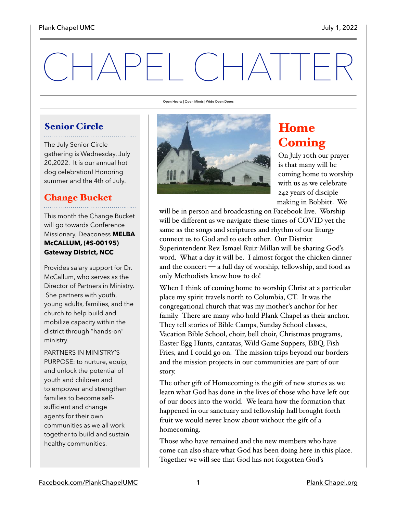# CHAPEL CHATTER

Open Hearts | Open Minds | Wide Open Doors

## Senior Circle

The July Senior Circle gathering is Wednesday, July 20,2022. It is our annual hot dog celebration! Honoring summer and the 4th of July.

## Change Bucket

This month the Change Bucket will go towards Conference Missionary, Deaconess **MELBA McCALLUM, (#S-00195) Gateway District, NCC**

Provides salary support for Dr. McCallum, who serves as the Director of Partners in Ministry. She partners with youth, young adults, families, and the church to help build and mobilize capacity within the district through "hands-on" ministry.

PARTNERS IN MINISTRY'S PURPOSE: to nurture, equip, and unlock the potential of youth and children and to empower and strengthen families to become selfsufficient and change agents for their own communities as we all work together to build and sustain healthy communities.



## Home **Coming**

On July 10th our prayer is that many will be coming home to worship with us as we celebrate 242 years of disciple making in Bobbitt. We

will be in person and broadcasting on Facebook live. Worship will be different as we navigate these times of COVID yet the same as the songs and scriptures and rhythm of our liturgy connect us to God and to each other. Our District Superintendent Rev. Ismael Ruiz-Millan will be sharing God's word. What a day it will be. I almost forgot the chicken dinner and the concert — a full day of worship, fellowship, and food as only Methodists know how to do!

When I think of coming home to worship Christ at a particular place my spirit travels north to Columbia, CT. It was the congregational church that was my mother's anchor for her family. There are many who hold Plank Chapel as their anchor. They tell stories of Bible Camps, Sunday School classes, Vacation Bible School, choir, bell choir, Christmas programs, Easter Egg Hunts, cantatas, Wild Game Suppers, BBQ, Fish Fries, and I could go on. The mission trips beyond our borders and the mission projects in our communities are part of our story.

The other gift of Homecoming is the gift of new stories as we learn what God has done in the lives of those who have left out of our doors into the world. We learn how the formation that happened in our sanctuary and fellowship hall brought forth fruit we would never know about without the gift of a homecoming.

Those who have remained and the new members who have come can also share what God has been doing here in this place. Together we will see that God has not forgotten God's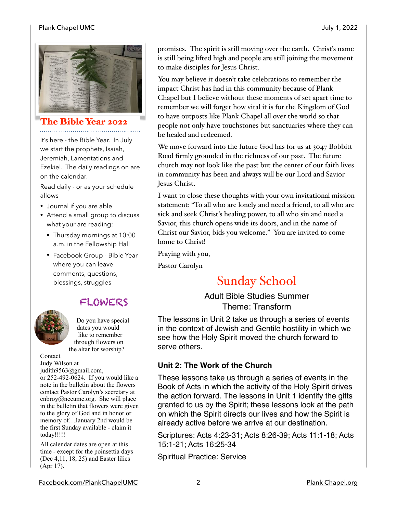#### Plank Chapel UMC July 1, 2022



#### The Bible Year 2022

It's here - the Bible Year. In July we start the prophets, Isaiah, Jeremiah, Lamentations and Ezekiel. The daily readings on are on the calendar.

Read daily - or as your schedule allows

- Journal if you are able
- Attend a small group to discuss what your are reading:
	- Thursday mornings at 10:00 a.m. in the Fellowship Hall
	- Facebook Group Bible Year where you can leave comments, questions, blessings, struggles

## FLOWERS



today!!!!!

Do you have special dates you would like to remember through flowers on the altar for worship?

Contact Judy Wilson at judith9563@gmail.com, or 252-492-0624. If you would like a note in the bulletin about the flowers contact Pastor Carolyn's secretary at cnbroy@nccumc.org. She will place in the bulletin that flowers were given to the glory of God and in honor or memory of…January 2nd would be the first Sunday available - claim it

All calendar dates are open at this time - except for the poinsettia days (Dec 4,11, 18, 25) and Easter lilies (Apr 17).

promises. The spirit is still moving over the earth. Christ's name is still being lifted high and people are still joining the movement to make disciples for Jesus Christ.

You may believe it doesn't take celebrations to remember the impact Christ has had in this community because of Plank Chapel but I believe without these moments of set apart time to remember we will forget how vital it is for the Kingdom of God to have outposts like Plank Chapel all over the world so that people not only have touchstones but sanctuaries where they can be healed and redeemed.

We move forward into the future God has for us at 3047 Bobbitt Road firmly grounded in the richness of our past. The future church may not look like the past but the center of our faith lives in community has been and always will be our Lord and Savior Jesus Christ.

I want to close these thoughts with your own invitational mission statement: "To all who are lonely and need a friend, to all who are sick and seek Christ's healing power, to all who sin and need a Savior, this church opens wide its doors, and in the name of Christ our Savior, bids you welcome." You are invited to come home to Christ!

Praying with you,

Pastor Carolyn

## Sunday School

Adult Bible Studies Summer Theme: Transform

The lessons in Unit 2 take us through a series of events in the context of Jewish and Gentile hostility in which we see how the Holy Spirit moved the church forward to serve others.

#### **Unit 2: The Work of the Church**

These lessons take us through a series of events in the Book of Acts in which the activity of the Holy Spirit drives the action forward. The lessons in Unit 1 identify the gifts granted to us by the Spirit; these lessons look at the path on which the Spirit directs our lives and how the Spirit is already active before we arrive at our destination.

Scriptures: Acts 4:23-31; Acts 8:26-39; Acts 11:1-18; Acts 15:1-21; Acts 16:25-34

Spiritual Practice: Service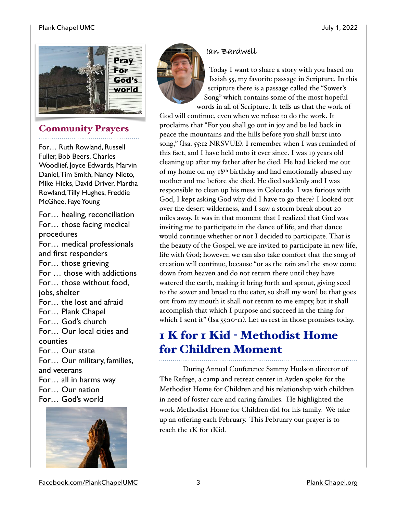#### Plank Chapel UMC July 1, 2022



## Community Prayers

For… Ruth Rowland, Russell Fuller, Bob Beers, Charles Woodlief, Joyce Edwards, Marvin Daniel, Tim Smith, Nancy Nieto, Mike Hicks, David Driver, Martha Rowland, Tilly Hughes, Freddie McGhee, Faye Young

For… healing, reconciliation For… those facing medical procedures For… medical professionals and first responders For… those grieving For … those with addictions For… those without food, jobs, shelter For… the lost and afraid For… Plank Chapel For… God's church For… Our local cities and counties For… Our state For… Our military, families, and veterans For… all in harms way For… Our nation For… God's world



#### **Ian Bardwell**



Today I want to share a story with you based on Isaiah 55, my favorite passage in Scripture. In this scripture there is a passage called the "Sower's Song" which contains some of the most hopeful words in all of Scripture. It tells us that the work of

God will continue, even when we refuse to do the work. It proclaims that "For you shall go out in joy and be led back in peace the mountains and the hills before you shall burst into song," (Isa. 55:12 NRSVUE). I remember when I was reminded of this fact, and I have held onto it ever since. I was 19 years old cleaning up after my father after he died. He had kicked me out of my home on my 18th birthday and had emotionally abused my mother and me before she died. He died suddenly and I was responsible to clean up his mess in Colorado. I was furious with God, I kept asking God why did I have to go there? I looked out over the desert wilderness, and I saw a storm break about 20 miles away. It was in that moment that I realized that God was inviting me to participate in the dance of life, and that dance would continue whether or not I decided to participate. That is the beauty of the Gospel, we are invited to participate in new life, life with God; however, we can also take comfort that the song of creation will continue, because "or as the rain and the snow come down from heaven and do not return there until they have watered the earth, making it bring forth and sprout, giving seed to the sower and bread to the eater, so shall my word be that goes out from my mouth it shall not return to me empty, but it shall accomplish that which I purpose and succeed in the thing for which I sent it" (Isa 55:10-11). Let us rest in those promises today.

## 1 K for 1 Kid - Methodist Home for Children Moment

During Annual Conference Sammy Hudson director of The Refuge, a camp and retreat center in Ayden spoke for the Methodist Home for Children and his relationship with children in need of foster care and caring families. He highlighted the work Methodist Home for Children did for his family. We take up an offering each February. This February our prayer is to reach the 1K for 1Kid.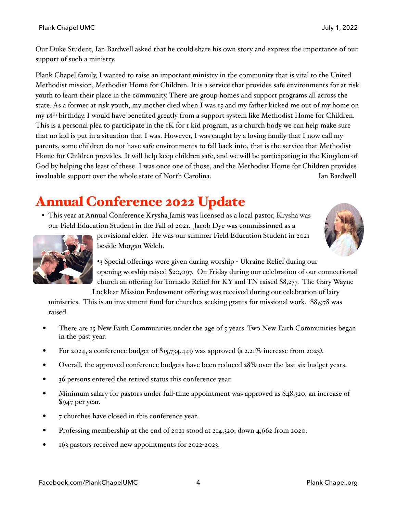Our Duke Student, Ian Bardwell asked that he could share his own story and express the importance of our support of such a ministry.

Plank Chapel family, I wanted to raise an important ministry in the community that is vital to the United Methodist mission, Methodist Home for Children. It is a service that provides safe environments for at risk youth to learn their place in the community. There are group homes and support programs all across the state. As a former at-risk youth, my mother died when I was 15 and my father kicked me out of my home on my 18th birthday, I would have benefited greatly from a support system like Methodist Home for Children. This is a personal plea to participate in the 1K for 1 kid program, as a church body we can help make sure that no kid is put in a situation that I was. However, I was caught by a loving family that I now call my parents, some children do not have safe environments to fall back into, that is the service that Methodist Home for Children provides. It will help keep children safe, and we will be participating in the Kingdom of God by helping the least of these. I was once one of those, and the Methodist Home for Children provides invaluable support over the whole state of North Carolina. Invaluable support over the whole state of North Carolina.

# Annual Conference 2022 Update

• This year at Annual Conference Krysha Jamis was licensed as a local pastor, Krysha was our Field Education Student in the Fall of 2021. Jacob Dye was commissioned as a







•3 Special offerings were given during worship - Ukraine Relief during our opening worship raised \$20,097. On Friday during our celebration of our connectional church an offering for Tornado Relief for KY and TN raised \$8,277. The Gary Wayne Locklear Mission Endowment offering was received during our celebration of laity

ministries. This is an investment fund for churches seeking grants for missional work. \$8,978 was raised.

- There are 15 New Faith Communities under the age of 5 years. Two New Faith Communities began in the past year.
- For 2024, a conference budget of \$15,734,449 was approved (a 2.21% increase from 2023).
- Overall, the approved conference budgets have been reduced 28% over the last six budget years.
- 36 persons entered the retired status this conference year.
- Minimum salary for pastors under full-time appointment was approved as \$48,320, an increase of \$947 per year.
- 7 churches have closed in this conference year.
- Professing membership at the end of 2021 stood at 214,320, down 4,662 from 2020.
- 163 pastors received new appointments for 2022-2023.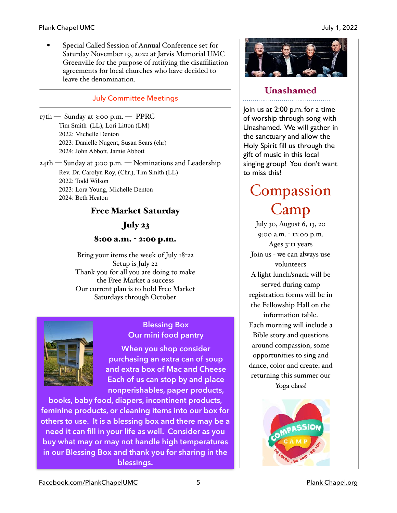#### Plank Chapel UMC July 1, 2022

• Special Called Session of Annual Conference set for Saturday November 19, 2022 at Jarvis Memorial UMC Greenville for the purpose of ratifying the disaffiliation agreements for local churches who have decided to leave the denomination.

#### July Committee Meetings

- $17th$  Sunday at 3:00 p.m. PPRC Tim Smith (LL), Lori Litton (LM) 2022: Michelle Denton 2023: Danielle Nugent, Susan Sears (chr) 2024: John Abbott, Jamie Abbott
- 24th Sunday at 3:00 p.m. Nominations and Leadership Rev. Dr. Carolyn Roy, (Chr.), Tim Smith (LL) 2022: Todd Wilson 2023: Lora Young, Michelle Denton 2024: Beth Heaton

#### Free Market Saturday

July 23

### 8:00 a.m. - 2:00 p.m.

Bring your items the week of July 18-22 Setup is July 22 Thank you for all you are doing to make the Free Market a success Our current plan is to hold Free Market Saturdays through October



#### **Blessing Box Our mini food pantry**

**When you shop consider purchasing an extra can of soup and extra box of Mac and Cheese Each of us can stop by and place nonperishables, paper products,** 

**books, baby food, diapers, incontinent products, feminine products, or cleaning items into our box for others to use. It is a blessing box and there may be a need it can fill in your life as well. Consider as you buy what may or may not handle high temperatures in our Blessing Box and thank you for sharing in the blessings.**



#### Unashamed

Join us at 2:00 p.m. for a time of worship through song with Unashamed. We will gather in the sanctuary and allow the Holy Spirit fill us through the gift of music in this local singing group! You don't want to miss this!

# **Compassion** Camp

July 30, August 6, 13, 20 9:00 a.m. - 12:00 p.m. Ages 3-11 years Join us - we can always use volunteers A light lunch/snack will be served during camp registration forms will be in the Fellowship Hall on the information table. Each morning will include a Bible story and questions around compassion, some opportunities to sing and dance, color and create, and returning this summer our Yoga class!